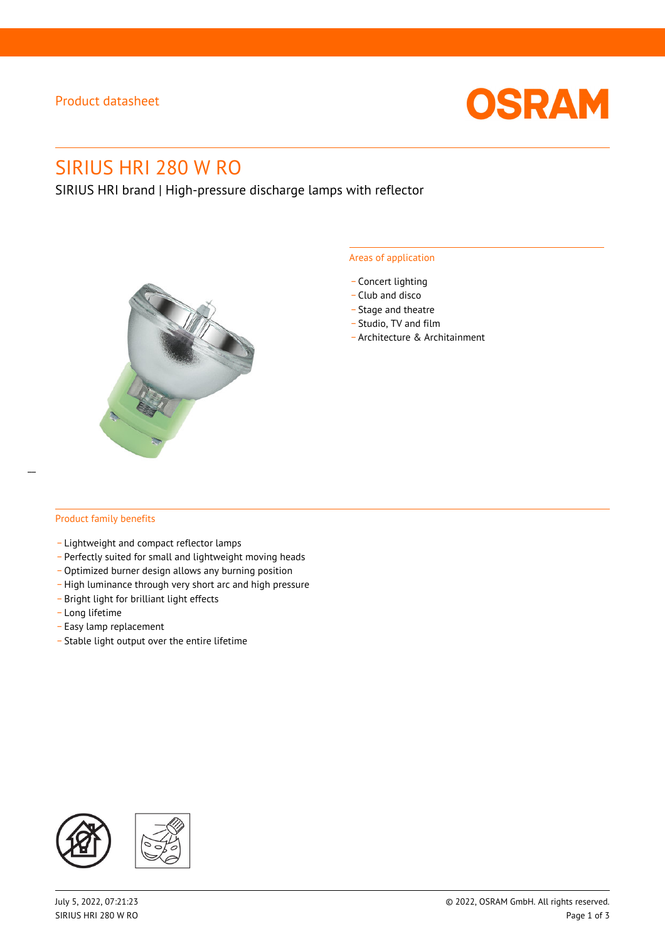### Product datasheet



# SIRIUS HRI 280 W RO

SIRIUS HRI brand | High-pressure discharge lamps with reflector



#### Areas of application

- Concert lighting
- \_ Club and disco
- Stage and theatre
- \_ Studio, TV and film
- \_ Architecture & Architainment

### Product family benefits

- \_ Lightweight and compact reflector lamps
- \_ Perfectly suited for small and lightweight moving heads
- Optimized burner design allows any burning position
- High luminance through very short arc and high pressure
- \_ Bright light for brilliant light effects
- \_ Long lifetime
- \_ Easy lamp replacement
- \_ Stable light output over the entire lifetime

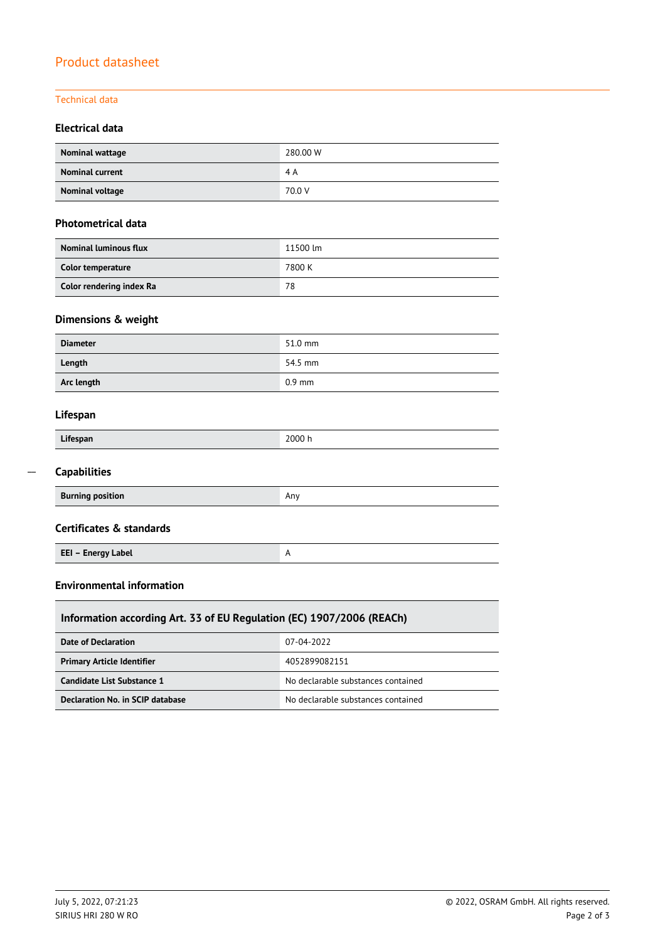## Product datasheet

### Technical data

### **Electrical data**

| Nominal wattage        | 280.00 W |
|------------------------|----------|
| <b>Nominal current</b> | 4 A      |
| Nominal voltage        | 70.0 V   |

### **Photometrical data**

| <b>Nominal luminous flux</b> | 11500 lm |
|------------------------------|----------|
| Color temperature            | 7800 K   |
| Color rendering index Ra     | 78       |

### **Dimensions & weight**

| <b>Diameter</b> | 51.0 mm  |
|-----------------|----------|
| Length          | 54.5 mm  |
| Arc length      | $0.9$ mm |

### **Lifespan**

 $\overline{a}$ 

| Lifespan                | 2000 h |  |
|-------------------------|--------|--|
| <b>Capabilities</b>     |        |  |
| <b>Burning position</b> | Any    |  |
|                         |        |  |

### **Certificates & standards**

**EEI – Energy Label** A

Г

### **Environmental information**

| Information according Art. 33 of EU Regulation (EC) 1907/2006 (REACh) |                                    |  |  |
|-----------------------------------------------------------------------|------------------------------------|--|--|
| 07-04-2022<br>Date of Declaration                                     |                                    |  |  |
| <b>Primary Article Identifier</b>                                     | 4052899082151                      |  |  |
| Candidate List Substance 1                                            | No declarable substances contained |  |  |
| Declaration No. in SCIP database                                      | No declarable substances contained |  |  |